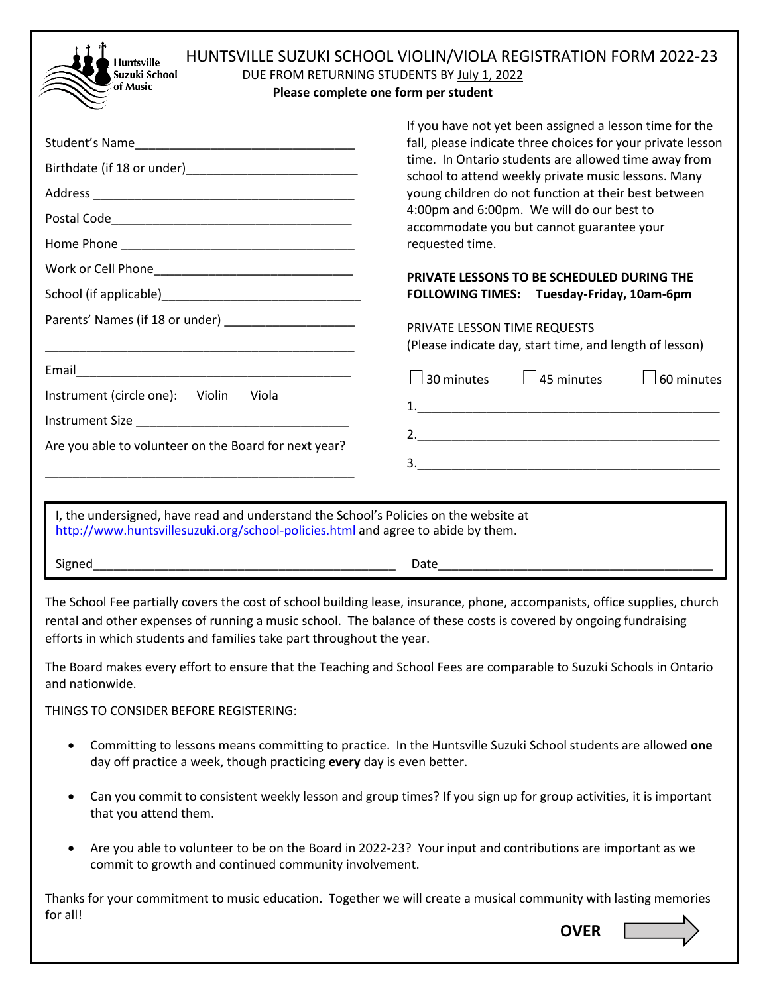| HUNTSVILLE SUZUKI SCHOOL VIOLIN/VIOLA REGISTRATION FORM 2022-23<br><b>Huntsville</b><br>Suzuki School<br>DUE FROM RETURNING STUDENTS BY July 1, 2022<br>of Music<br>Please complete one form per student |                                                                                                                                                                                                                                                                                                                                                                                                            |  |
|----------------------------------------------------------------------------------------------------------------------------------------------------------------------------------------------------------|------------------------------------------------------------------------------------------------------------------------------------------------------------------------------------------------------------------------------------------------------------------------------------------------------------------------------------------------------------------------------------------------------------|--|
| Student's Name                                                                                                                                                                                           | If you have not yet been assigned a lesson time for the<br>fall, please indicate three choices for your private lesson<br>time. In Ontario students are allowed time away from<br>school to attend weekly private music lessons. Many<br>young children do not function at their best between<br>4:00pm and 6:00pm. We will do our best to<br>accommodate you but cannot guarantee your<br>requested time. |  |
|                                                                                                                                                                                                          | PRIVATE LESSONS TO BE SCHEDULED DURING THE<br>FOLLOWING TIMES: Tuesday-Friday, 10am-6pm                                                                                                                                                                                                                                                                                                                    |  |
| Parents' Names (if 18 or under) ___________________<br><u> 1989 - Johann John Stein, markin fan it ferskearre fan it ferskearre fan it ferskearre fan it ferskearre fan </u>                             | PRIVATE LESSON TIME REQUESTS<br>(Please indicate day, start time, and length of lesson)                                                                                                                                                                                                                                                                                                                    |  |
| Instrument (circle one): Violin<br>– Viola<br>Instrument Size<br>Are you able to volunteer on the Board for next year?                                                                                   | $\Box$ 45 minutes<br>$\square$ 30 minutes<br>$\Box$ 60 minutes                                                                                                                                                                                                                                                                                                                                             |  |
| I, the undersigned, have read and understand the School's Policies on the website at<br>http://www.huntsvillesuzuki.org/school-policies.html and agree to abide by them.                                 |                                                                                                                                                                                                                                                                                                                                                                                                            |  |
| Signed                                                                                                                                                                                                   |                                                                                                                                                                                                                                                                                                                                                                                                            |  |

The School Fee partially covers the cost of school building lease, insurance, phone, accompanists, office supplies, church rental and other expenses of running a music school. The balance of these costs is covered by ongoing fundraising efforts in which students and families take part throughout the year.

The Board makes every effort to ensure that the Teaching and School Fees are comparable to Suzuki Schools in Ontario and nationwide.

THINGS TO CONSIDER BEFORE REGISTERING:

- Committing to lessons means committing to practice. In the Huntsville Suzuki School students are allowed **one** day off practice a week, though practicing **every** day is even better.
- Can you commit to consistent weekly lesson and group times? If you sign up for group activities, it is important that you attend them.
- Are you able to volunteer to be on the Board in 2022-23? Your input and contributions are important as we commit to growth and continued community involvement.

Thanks for your commitment to music education. Together we will create a musical community with lasting memories for all!

**OVER**